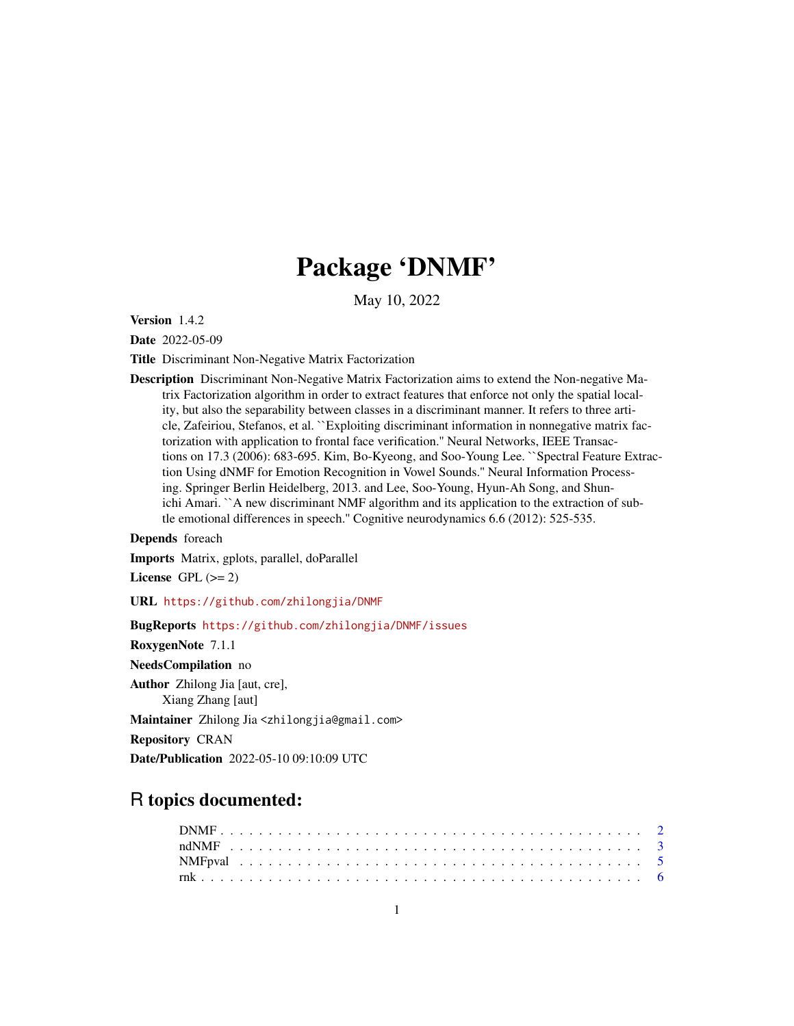## Package 'DNMF'

May 10, 2022

Version 1.4.2

Date 2022-05-09

Title Discriminant Non-Negative Matrix Factorization

Description Discriminant Non-Negative Matrix Factorization aims to extend the Non-negative Matrix Factorization algorithm in order to extract features that enforce not only the spatial locality, but also the separability between classes in a discriminant manner. It refers to three article, Zafeiriou, Stefanos, et al. ``Exploiting discriminant information in nonnegative matrix factorization with application to frontal face verification.'' Neural Networks, IEEE Transactions on 17.3 (2006): 683-695. Kim, Bo-Kyeong, and Soo-Young Lee. ``Spectral Feature Extraction Using dNMF for Emotion Recognition in Vowel Sounds.'' Neural Information Processing. Springer Berlin Heidelberg, 2013. and Lee, Soo-Young, Hyun-Ah Song, and Shunichi Amari. ``A new discriminant NMF algorithm and its application to the extraction of subtle emotional differences in speech.'' Cognitive neurodynamics 6.6 (2012): 525-535.

Depends foreach

Imports Matrix, gplots, parallel, doParallel

License GPL  $(>= 2)$ 

URL <https://github.com/zhilongjia/DNMF>

BugReports <https://github.com/zhilongjia/DNMF/issues>

RoxygenNote 7.1.1

NeedsCompilation no

Author Zhilong Jia [aut, cre],

Xiang Zhang [aut]

Maintainer Zhilong Jia <zhilongjia@gmail.com>

Repository CRAN

Date/Publication 2022-05-10 09:10:09 UTC

### R topics documented: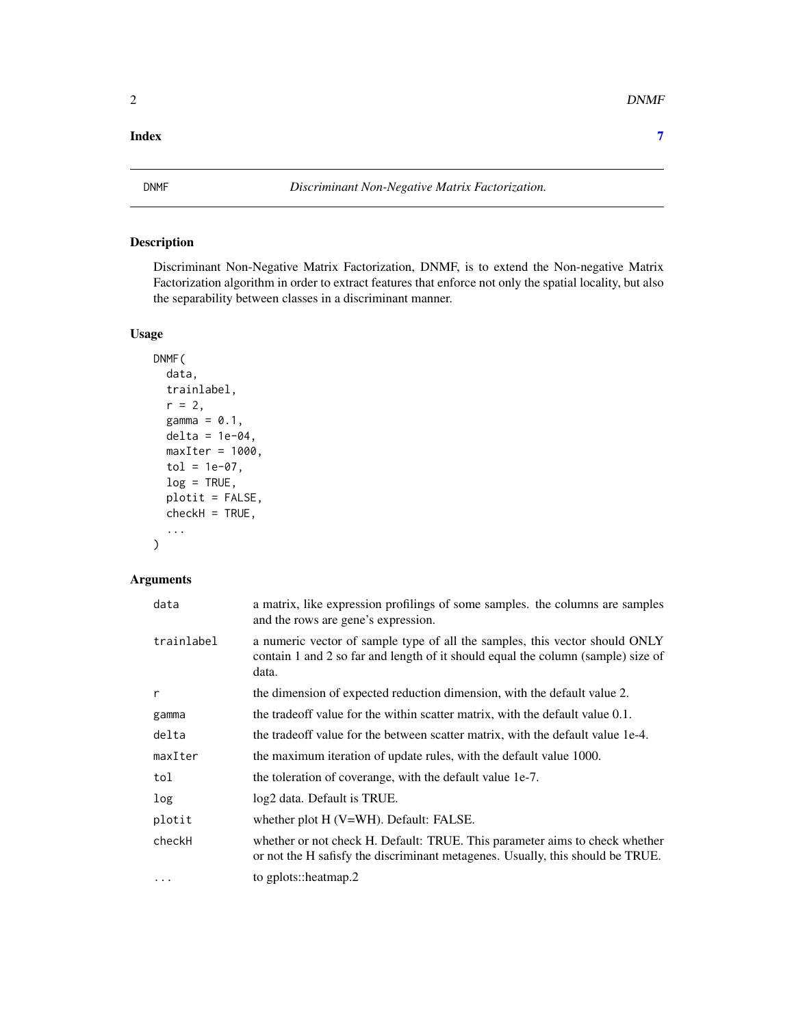#### <span id="page-1-0"></span>**Index** [7](#page-6-0) **7**

#### Description

Discriminant Non-Negative Matrix Factorization, DNMF, is to extend the Non-negative Matrix Factorization algorithm in order to extract features that enforce not only the spatial locality, but also the separability between classes in a discriminant manner.

#### Usage

```
DNMF(
 data,
  trainlabel,
  r = 2,gamma = 0.1,
 delta = 1e-04,
 maxIter = 1000,tol = 1e-07,log = TRUE,plotit = FALSE,
 checkH = TRUE,...
```
#### Arguments

)

| data       | a matrix, like expression profilings of some samples. the columns are samples<br>and the rows are gene's expression.                                                     |
|------------|--------------------------------------------------------------------------------------------------------------------------------------------------------------------------|
| trainlabel | a numeric vector of sample type of all the samples, this vector should ONLY<br>contain 1 and 2 so far and length of it should equal the column (sample) size of<br>data. |
| r          | the dimension of expected reduction dimension, with the default value 2.                                                                                                 |
| gamma      | the tradeoff value for the within scatter matrix, with the default value 0.1.                                                                                            |
| delta      | the tradeoff value for the between scatter matrix, with the default value 1e-4.                                                                                          |
| maxIter    | the maximum iteration of update rules, with the default value 1000.                                                                                                      |
| tol        | the toleration of coverange, with the default value 1e-7.                                                                                                                |
| log        | log2 data. Default is TRUE.                                                                                                                                              |
| plotit     | whether plot H (V=WH). Default: FALSE.                                                                                                                                   |
| checkH     | whether or not check H. Default: TRUE. This parameter aims to check whether<br>or not the H safisfy the discriminant metagenes. Usually, this should be TRUE.            |
| $\ddotsc$  | to gplots::heatmap.2                                                                                                                                                     |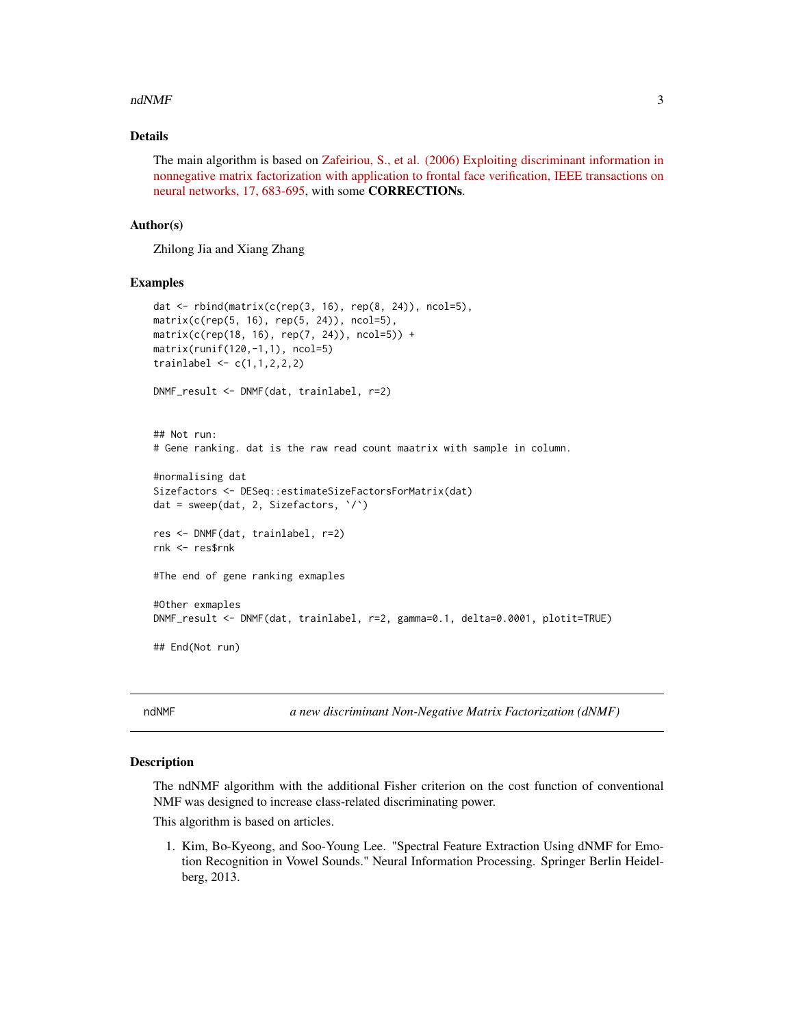#### <span id="page-2-0"></span> $\blacksquare$ ndNMF  $\blacksquare$ 3

#### Details

The main algorithm is based on [Zafeiriou, S., et al. \(2006\) Exploiting discriminant information in](https://pubmed.ncbi.nlm.nih.gov/16722172/) [nonnegative matrix factorization with application to frontal face verification, IEEE transactions on](https://pubmed.ncbi.nlm.nih.gov/16722172/) [neural networks, 17, 683-695,](https://pubmed.ncbi.nlm.nih.gov/16722172/) with some CORRECTIONs.

#### Author(s)

Zhilong Jia and Xiang Zhang

#### Examples

```
dat <- rbind(matrix(c(rep(3, 16), rep(8, 24)), ncol=5),
matrix(c(rep(5, 16), rep(5, 24)), ncol=5),
matrix(c(rep(18, 16), rep(7, 24)), ncol=5)) +
matrix(runif(120,-1,1), ncol=5)
trainlabel <- c(1,1,2,2,2)
DNMF_result <- DNMF(dat, trainlabel, r=2)
## Not run:
# Gene ranking. dat is the raw read count maatrix with sample in column.
#normalising dat
Sizefactors <- DESeq::estimateSizeFactorsForMatrix(dat)
dat = sweep(dat, 2, Sizefactors, `/`)
res <- DNMF(dat, trainlabel, r=2)
rnk <- res$rnk
#The end of gene ranking exmaples
#Other exmaples
DNMF_result <- DNMF(dat, trainlabel, r=2, gamma=0.1, delta=0.0001, plotit=TRUE)
## End(Not run)
```
ndNMF *a new discriminant Non-Negative Matrix Factorization (dNMF)*

#### Description

The ndNMF algorithm with the additional Fisher criterion on the cost function of conventional NMF was designed to increase class-related discriminating power.

This algorithm is based on articles.

1. Kim, Bo-Kyeong, and Soo-Young Lee. "Spectral Feature Extraction Using dNMF for Emotion Recognition in Vowel Sounds." Neural Information Processing. Springer Berlin Heidelberg, 2013.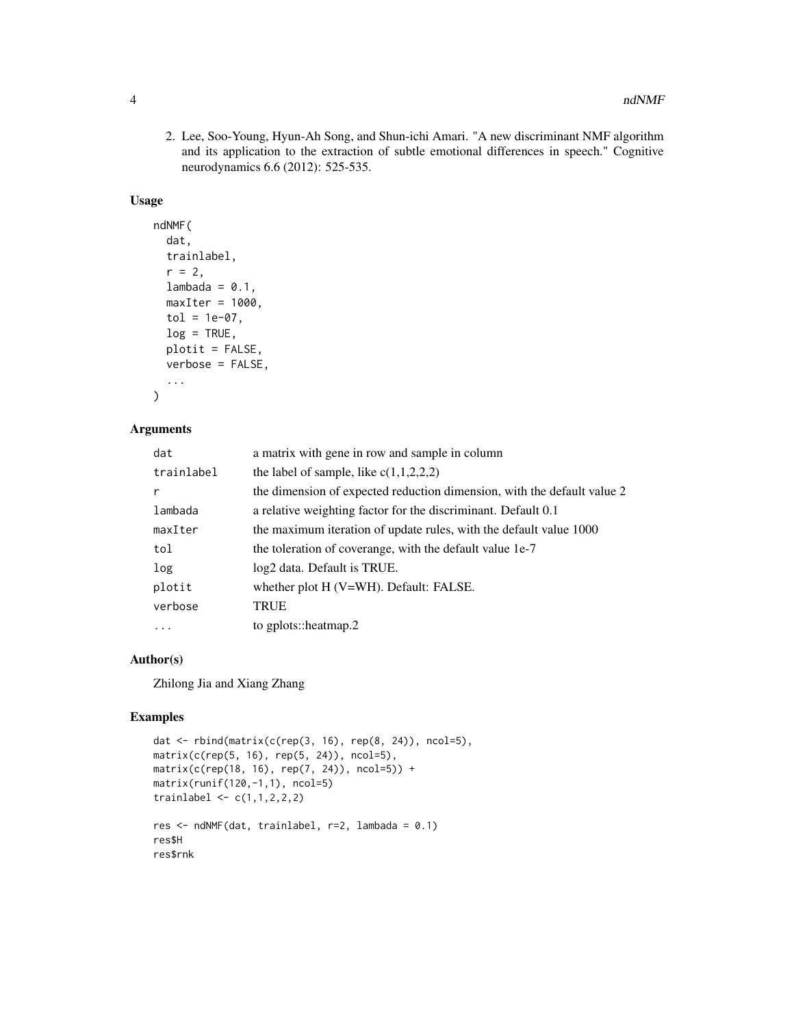2. Lee, Soo-Young, Hyun-Ah Song, and Shun-ichi Amari. "A new discriminant NMF algorithm and its application to the extraction of subtle emotional differences in speech." Cognitive neurodynamics 6.6 (2012): 525-535.

#### Usage

```
ndNMF(
 dat,
  trainlabel,
  r = 2,lambda = 0.1,
 maxIter = 1000,tol = 1e-07,log = TRUE,plotit = FALSE,
 verbose = FALSE,
  ...
)
```
#### Arguments

| dat        | a matrix with gene in row and sample in column                          |
|------------|-------------------------------------------------------------------------|
| trainlabel | the label of sample, like $c(1,1,2,2,2)$                                |
| r          | the dimension of expected reduction dimension, with the default value 2 |
| lambada    | a relative weighting factor for the discriminant. Default 0.1           |
| maxIter    | the maximum iteration of update rules, with the default value 1000      |
| tol        | the toleration of coverange, with the default value 1e-7                |
| log        | log2 data. Default is TRUE.                                             |
| plotit     | whether plot H (V=WH). Default: FALSE.                                  |
| verbose    | TRUE                                                                    |
|            | to gplots::heatmap.2                                                    |
|            |                                                                         |

#### Author(s)

Zhilong Jia and Xiang Zhang

#### Examples

```
dat <- rbind(matrix(c(rep(3, 16), rep(8, 24)), ncol=5),
matrix(c(rep(5, 16), rep(5, 24)), ncol=5),
matrix(c(rep(18, 16), rep(7, 24)), ncol=5)) +
matrix(runif(120,-1,1), ncol=5)
trainlabel <- c(1,1,2,2,2)
res <- ndNMF(dat, trainlabel, r=2, lambada = 0.1)
res$H
res$rnk
```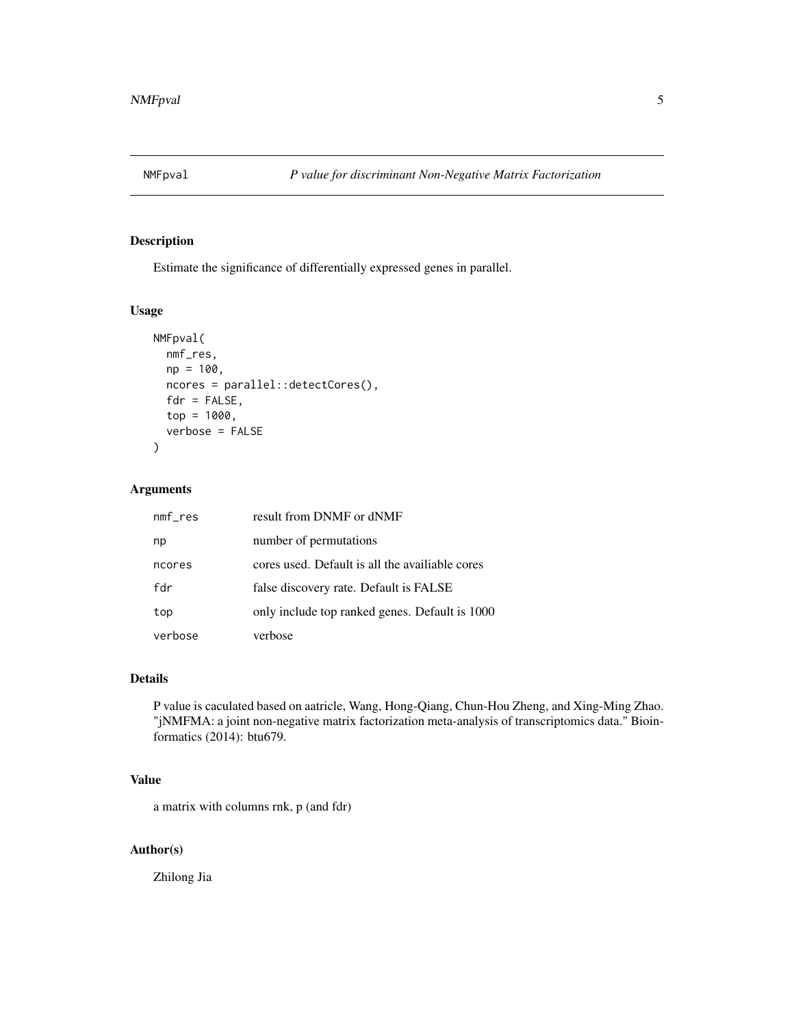<span id="page-4-0"></span>

#### Description

Estimate the significance of differentially expressed genes in parallel.

#### Usage

```
NMFpval(
 nmf_res,
 np = 100,ncores = parallel::detectCores(),
 fdr = FALSE,top = 1000,verbose = FALSE
)
```
#### Arguments

| $nmf_{res}$ | result from DNMF or dNMF                        |
|-------------|-------------------------------------------------|
| np          | number of permutations                          |
| ncores      | cores used. Default is all the availiable cores |
| fdr         | false discovery rate. Default is FALSE          |
| top         | only include top ranked genes. Default is 1000  |
| verbose     | verbose                                         |

#### Details

P value is caculated based on aatricle, Wang, Hong-Qiang, Chun-Hou Zheng, and Xing-Ming Zhao. "jNMFMA: a joint non-negative matrix factorization meta-analysis of transcriptomics data." Bioinformatics (2014): btu679.

#### Value

a matrix with columns rnk, p (and fdr)

#### Author(s)

Zhilong Jia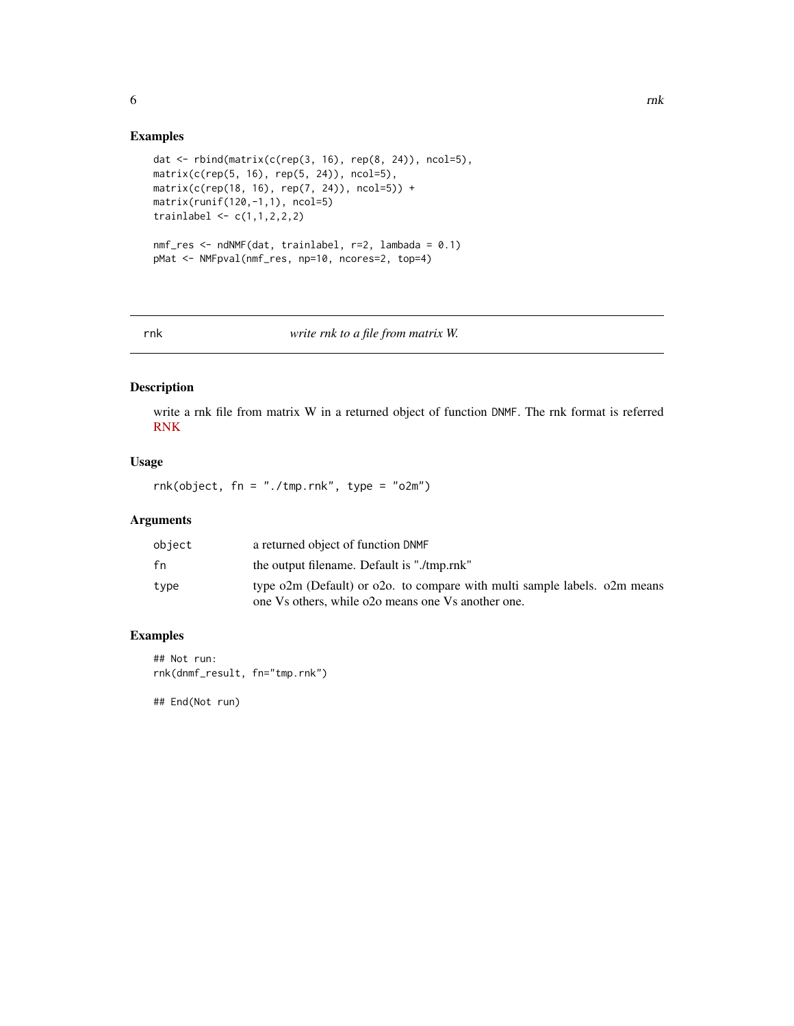#### Examples

```
dat <- rbind(matrix(c(rep(3, 16), rep(8, 24)), ncol=5),
matrix(c(rep(5, 16), rep(5, 24)), ncol=5),
matrix(c(rep(18, 16), rep(7, 24)), ncol=5)) +
matrix(runif(120,-1,1), ncol=5)
trainlabel \leq c(1,1,2,2,2)nmf_res <- ndNMF(dat, trainlabel, r=2, lambada = 0.1)
pMat <- NMFpval(nmf_res, np=10, ncores=2, top=4)
```
rnk *write rnk to a file from matrix W.*

#### Description

write a rnk file from matrix W in a returned object of function DNMF. The rnk format is referred [RNK](https://software.broadinstitute.org/cancer/software/gsea/wiki/index.php/Data_formats)

#### Usage

rnk(object, fn = "./tmp.rnk", type = "o2m")

#### Arguments

| object | a returned object of function DNMF                                                                                              |
|--------|---------------------------------------------------------------------------------------------------------------------------------|
| fn     | the output filename. Default is "./tmp.rnk"                                                                                     |
| type   | type o2m (Default) or o2o. to compare with multi sample labels. o2m means<br>one Vs others, while o2o means one Vs another one. |

#### Examples

## Not run: rnk(dnmf\_result, fn="tmp.rnk")

## End(Not run)

<span id="page-5-0"></span> $\sim$  6  $\sim$  rnk